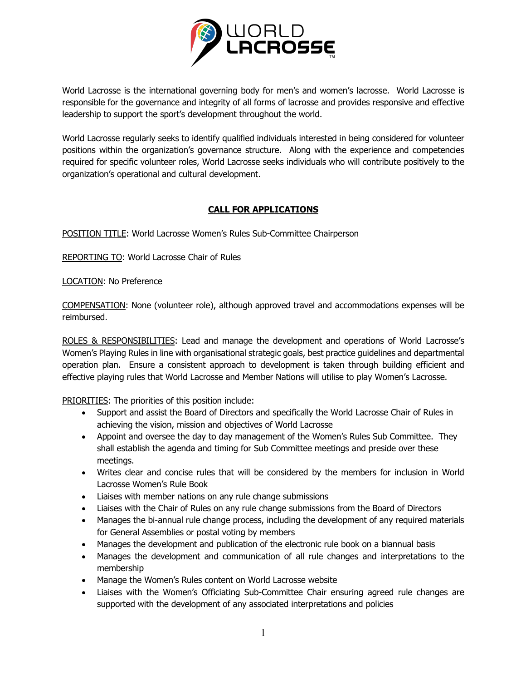

World Lacrosse is the international governing body for men's and women's lacrosse. World Lacrosse is responsible for the governance and integrity of all forms of lacrosse and provides responsive and effective leadership to support the sport's development throughout the world.

World Lacrosse regularly seeks to identify qualified individuals interested in being considered for volunteer positions within the organization's governance structure. Along with the experience and competencies required for specific volunteer roles, World Lacrosse seeks individuals who will contribute positively to the organization's operational and cultural development.

## **CALL FOR APPLICATIONS**

POSITION TITLE: World Lacrosse Women's Rules Sub-Committee Chairperson

REPORTING TO: World Lacrosse Chair of Rules

LOCATION: No Preference

COMPENSATION: None (volunteer role), although approved travel and accommodations expenses will be reimbursed.

ROLES & RESPONSIBILITIES: Lead and manage the development and operations of World Lacrosse's Women's Playing Rules in line with organisational strategic goals, best practice guidelines and departmental operation plan. Ensure a consistent approach to development is taken through building efficient and effective playing rules that World Lacrosse and Member Nations will utilise to play Women's Lacrosse.

PRIORITIES: The priorities of this position include:

- Support and assist the Board of Directors and specifically the World Lacrosse Chair of Rules in achieving the vision, mission and objectives of World Lacrosse
- Appoint and oversee the day to day management of the Women's Rules Sub Committee. They shall establish the agenda and timing for Sub Committee meetings and preside over these meetings.
- Writes clear and concise rules that will be considered by the members for inclusion in World Lacrosse Women's Rule Book
- Liaises with member nations on any rule change submissions
- Liaises with the Chair of Rules on any rule change submissions from the Board of Directors
- Manages the bi-annual rule change process, including the development of any required materials for General Assemblies or postal voting by members
- Manages the development and publication of the electronic rule book on a biannual basis
- Manages the development and communication of all rule changes and interpretations to the membership
- Manage the Women's Rules content on World Lacrosse website
- Liaises with the Women's Officiating Sub-Committee Chair ensuring agreed rule changes are supported with the development of any associated interpretations and policies